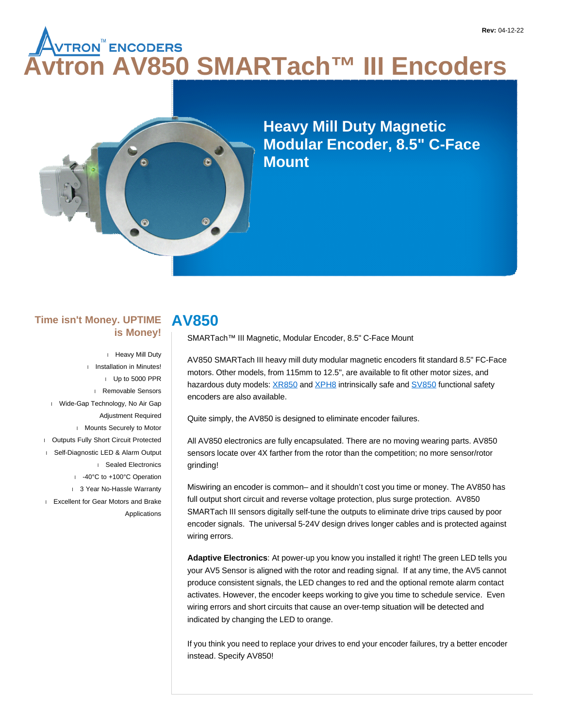# **Avtron AV850 SMARTach™ III Encoders**



**Heavy Mill Duty Magnetic Modular Encoder, 8.5" C-Face Mount**

#### **Time isn't Money. UPTIME is Money!**

 Heavy Mill Duty Installation in Minutes! Up to 5000 PPR Removable Sensors Wide-Gap Technology, No Air Gap Adjustment Required Mounts Securely to Motor Outputs Fully Short Circuit Protected Self-Diagnostic LED & Alarm Output Sealed Electronics -40°C to +100°C Operation 1 3 Year No-Hassle Warranty **Excellent for Gear Motors and Brake** Applications

# **AV850**

SMARTach™ III Magnetic, Modular Encoder, 8.5" C-Face Mount

AV850 SMARTach III heavy mill duty modular magnetic encoders fit standard 8.5" FC-Face motors. Other models, from 115mm to 12.5", are available to fit other motor sizes, and hazardous duty models: XR850 and XPH8 intrinsically safe and SV850 functional safety encoders are also available.

Quite simply, the AV850 is designed to eliminate encoder failures.

All AV850 electronics are fully encapsulated. There are no moving wearing parts. AV850 sensors locate over 4X farther from the rotor than the competition; no more sensor/rotor grinding!

Miswiring an encoder is common– and it shouldn't cost you time or money. The AV850 has full output short circuit and reverse voltage protection, plus surge protection. AV850 SMARTach III sensors digitally self-tune the outputs to eliminate drive trips caused by poor encoder signals. The universal 5-24V design drives longer cables and is protected against wiring errors.

**Adaptive Electronics**: At power-up you know you installed it right! The green LED tells you your AV5 Sensor is aligned with the rotor and reading signal. If at any time, the AV5 cannot produce consistent signals, the LED changes to red and the optional remote alarm contact activates. However, the encoder keeps working to give you time to schedule service. Even wiring errors and short circuits that cause an over-temp situation will be detected and indicated by changing the LED to orange.

If you think you need to replace your drives to end your encoder failures, try a better encoder instead. Specify AV850!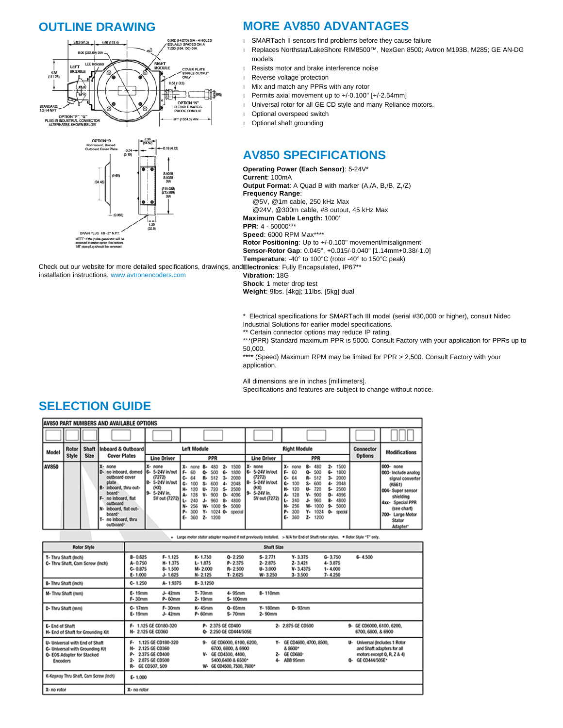#### **OUTLINE DRAWING**



## **MORE AV850 ADVANTAGES**

- SMARTach II sensors find problems before they cause failure
- Replaces Northstar/LakeShore RIM8500™, NexGen 8500; Avtron M193B, M285; GE AN-DG models
- Resists motor and brake interference noise
- Reverse voltage protection
- Mix and match any PPRs with any rotor
- Permits axial movement up to +/-0.100" [+/-2.54mm]
- Universal rotor for all GE CD style and many Reliance motors.
- Optional overspeed switch
- Optional shaft grounding

# **AV850 SPECIFICATIONS**

**Operating Power (Each Sensor)**: 5-24V\* **Current**: 100mA **Output Format**: A Quad B with marker (A,/A, B,/B, Z,/Z) **Frequency Range**: @5V, @1m cable, 250 kHz Max @24V, @300m cable, #8 output, 45 kHz Max **Maximum Cable Length:** 1000' **PPR**: 4 - 50000\*\*\* **Speed**: 6000 RPM Max\*\*\*\* **Rotor Positioning**: Up to +/-0.100" movement/misalignment **Sensor-Rotor Gap**: 0.045", +0.015/-0.040" [1.14mm+0.38/-1.0] **Temperature**: -40° to 100°C (rotor -40° to 150°C peak)

Check out our website for more detailed specifications, drawings, and **Electronics**: Fully Encapsulated, IP67\*\* installation instructions. www.avtronencoders.com

**Vibration**: 18G **Shock**: 1 meter drop test

**Weight**: 9lbs. [4kg]; 11lbs. [5kg] dual

\* Electrical specifications for SMARTach III model (serial #30,000 or higher), consult Nidec

Industrial Solutions for earlier model specifications.

\*\* Certain connector options may reduce IP rating.

\*\*\*(PPR) Standard maximum PPR is 5000. Consult Factory with your application for PPRs up to 50,000.

\*\*\*\* (Speed) Maximum RPM may be limited for PPR > 2,500. Consult Factory with your application.

All dimensions are in inches [millimeters].

Specifications and features are subject to change without notice.

## **SELECTION GUIDE**

|       | <b>AV850 PART NUMBERS AND AVAILABLE OPTIONS</b> |                      |                                                                                                                                                                                                                             |                                                                                   |                                                                                                                                                                                                                                                                                                                                                                                                       |                                                                                                                                                                                                                                                                                                                                                                                                                                                                                                     |                             |                                                                                                                                                                      |  |  |  |  |
|-------|-------------------------------------------------|----------------------|-----------------------------------------------------------------------------------------------------------------------------------------------------------------------------------------------------------------------------|-----------------------------------------------------------------------------------|-------------------------------------------------------------------------------------------------------------------------------------------------------------------------------------------------------------------------------------------------------------------------------------------------------------------------------------------------------------------------------------------------------|-----------------------------------------------------------------------------------------------------------------------------------------------------------------------------------------------------------------------------------------------------------------------------------------------------------------------------------------------------------------------------------------------------------------------------------------------------------------------------------------------------|-----------------------------|----------------------------------------------------------------------------------------------------------------------------------------------------------------------|--|--|--|--|
|       |                                                 |                      |                                                                                                                                                                                                                             |                                                                                   |                                                                                                                                                                                                                                                                                                                                                                                                       |                                                                                                                                                                                                                                                                                                                                                                                                                                                                                                     |                             |                                                                                                                                                                      |  |  |  |  |
| Model | Rotor<br>Style                                  | <b>Shaft</b><br>Size | Inboard & Outboard<br><b>Cover Plates</b>                                                                                                                                                                                   | <b>Line Driver</b>                                                                | <b>Left Module</b><br>PPR                                                                                                                                                                                                                                                                                                                                                                             | <b>Right Module</b><br>PPR<br><b>Line Driver</b>                                                                                                                                                                                                                                                                                                                                                                                                                                                    | Connector<br><b>Options</b> | <b>Modifications</b>                                                                                                                                                 |  |  |  |  |
| AV850 |                                                 |                      | none<br>D- no inboard, domed 6- 5-24V in/out<br>outboard cover<br>plate<br>IB-<br>inboard, thru out-<br>board"<br>no inboard, flat<br>outboard<br>inboard, flat out-<br>board <sup>*</sup><br>no inboard, thru<br>outboard* | X- none<br>(7272)<br>8- 5-24V in/out<br>(HO)<br>5-24V in.<br>19-<br>SV out (7272) | 1500<br>X- none<br>480<br>$\mathbf{2}$<br>8-<br>1800<br>$F - 60$<br>500<br>6.<br>2000<br>$C - 64$<br>512<br>R-<br>$3-$<br>G-<br>2048<br>100<br>600<br>s.<br>2500<br>н.<br>720<br>120<br>5.<br>u.<br>4096<br>А-<br>900<br>D-<br>128<br>v.<br>L.<br>4800<br>240<br>8.<br>960<br>J.<br>5000<br>w.<br>N-<br>$10009 -$<br>256<br>300<br>$1024$ 0-<br>γ.<br>р.<br>special<br>1200<br>$360$ <b>Z</b> -<br>ε. | 1500<br>χ.<br>none<br>480<br>2.<br>none<br>в.<br>6- 5-24V in/out<br>1800<br>$F - 60$<br>500<br>٥.<br>6.<br>(7272)<br>2000<br>64<br>R- 512<br>c٠<br>з.<br>5-24V in/out<br>18-<br>2048<br>600<br>100<br>G-<br>s.<br>4.<br>0100<br>2500<br>H.<br>720<br>120<br>5.<br>u.<br>5-24V in.<br>۱9۰<br>4096<br>900<br>д.<br>128<br>v.<br>D٠<br>5V out (7272)<br>960<br>4800<br>240<br>g.<br>J.<br>256<br>5000<br>1000<br>w.<br>N.<br>9.<br>300<br>$Y - 1024$<br>р.<br>٥.<br>special<br>1200<br>360<br>z.<br>ε. | $4x +$<br>700-              | 000- none<br>003- Include analog<br>signal converter<br>(0.661)<br>004- Super sensor<br>shielding<br>Special PPR<br>(see chart)<br>Large Motor<br>Stator<br>Adapter* |  |  |  |  |

|                                                                                                             |                                                                                    |                                                      |                                                  |                                                                                                                          |                                                      | + Large motor stator adaptor required if not previously installed. > N/A for End of Shaft rotor styles. . * Rotor Style "T" only. |                                                          |    |                                                                                                              |  |
|-------------------------------------------------------------------------------------------------------------|------------------------------------------------------------------------------------|------------------------------------------------------|--------------------------------------------------|--------------------------------------------------------------------------------------------------------------------------|------------------------------------------------------|-----------------------------------------------------------------------------------------------------------------------------------|----------------------------------------------------------|----|--------------------------------------------------------------------------------------------------------------|--|
| Rotor Style                                                                                                 | <b>Shaft Size</b>                                                                  |                                                      |                                                  |                                                                                                                          |                                                      |                                                                                                                                   |                                                          |    |                                                                                                              |  |
| T- Thru Shaft (Inch)<br>C- Thru Shaft, Cam Screw (Inch)                                                     | $8 - 0.625$<br>A-0.750<br>$C - 0.875$<br>$E - 1.000$                               | $F - 1.125$<br>H-1.375<br>$8 - 1.500$<br>$J - 1.625$ | K-1.750<br>$L - 1.875$<br>M-2.000<br>$N - 2.125$ | $Q - 2.250$<br>$P - 2.375$<br>R-2500<br>$T - 2.625$                                                                      | $S - 2.771$<br>$2 - 2.875$<br>$U - 3.000$<br>W-3.250 | $Y - 3.375$<br>$2 - 3.421$<br>$V - 3.4375$<br>$3 - 3.500$                                                                         | $G - 3.750$<br>$4 - 3.875$<br>$1 - 4.000$<br>$7 - 4.250$ |    | $6 - 4.500$                                                                                                  |  |
| 8- Thru Shaft (Inch)                                                                                        | $C - 1.250$                                                                        | A-1.9375                                             | 8-3.1250                                         |                                                                                                                          |                                                      |                                                                                                                                   |                                                          |    |                                                                                                              |  |
| M- Thru Shaft (mm)                                                                                          | E-19mm<br>F-30mm                                                                   | J-42mm<br>P-60mm                                     | T-70mm<br>Z-19mm                                 | 4-95mm<br>5-100mm                                                                                                        | 8-110mm                                              |                                                                                                                                   |                                                          |    |                                                                                                              |  |
| D- Thru Shaft (mm)                                                                                          | $C-17mm$<br>E-19mm                                                                 | F-30mm<br>J-42mm                                     | <b>K-45mm</b><br>P-60mm                          | $0 - 65$ mm<br>S-70mm                                                                                                    | Y-180mm<br>2-90mm                                    | D-93mm                                                                                                                            |                                                          |    |                                                                                                              |  |
| E- End of Shaft<br>H- End of Shaft for Grounding Kit                                                        | F- 1.125 GE CO180-320<br>N- 2.125 GE CD360                                         |                                                      |                                                  | P- 2.375 GE CD400<br>0- 2.250 GE CD444/505E                                                                              |                                                      | 2- 2.875 GE CD500                                                                                                                 |                                                          |    | 9- GE CD6000, 6100, 6200,<br>6700, 6800, & 6900                                                              |  |
| U- Universal with End of Shaft<br>G- Universal with Grounding Kit<br>Q- EOS Adapter for Stacked<br>Encoders | ۴.<br>2.125 GE C0360<br>2.375 GE CD400<br>2.875 GE CO500<br>2-<br>R- GE CD507, 509 | 1.125 GE CD180-320                                   |                                                  | 9- GE CD6000, 6100, 6200,<br>6700, 6800, 8 6900<br>V- GE CD4300, 4400,<br>5400,6400 & 6500*<br>W- GE CO4500, 7500, 7600* | 4.                                                   | Y- GE CO4600, 4700, 8500,<br>8.8600*<br>Z- GE CO680-<br>ABB 95mm                                                                  |                                                          | ٥. | U- Universal (includes 1 Rotor<br>and Shaft adapters for all<br>motors except Q, R, Z & 4)<br>GE CO444/SOSE* |  |
| K-Keyway Thru Shaft, Cam Screw (Inch)                                                                       | $E - 1,000$                                                                        |                                                      |                                                  |                                                                                                                          |                                                      |                                                                                                                                   |                                                          |    |                                                                                                              |  |
| X- no rotor                                                                                                 | X- no rotor                                                                        |                                                      |                                                  |                                                                                                                          |                                                      |                                                                                                                                   |                                                          |    |                                                                                                              |  |